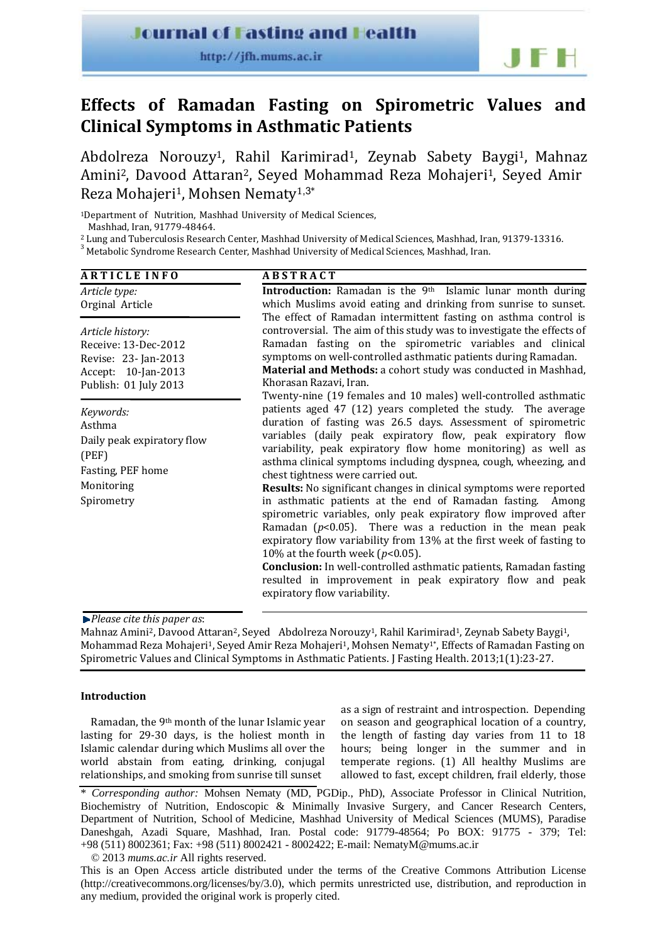## **Journal of Fasting and Health**

http://jfh.mums.ac.ir



# **Effects of Ramadan Fasting on Spirometric Values and Clinical Symptoms in Asthmatic Patients**

Abdolreza Norouzy<sup>1</sup>, Rahil Karimirad<sup>1</sup>, Zeynab Sabety Baygi<sup>1</sup>, Mahnaz Amini<sup>2</sup>, Davood Attaran<sup>2</sup>, Seyed Mohammad Reza Mohajeri<sup>1</sup>, Seyed Amir Reza Mohajeri1, Mohsen Nematy<sup>1</sup>,3\*

<sup>1</sup>Department of Nutrition, Mashhad University of Medical Sciences, Mashhad, Iran, 91779‐48464.

<sup>2</sup> Lung and Tuberculosis Research Center, Mashhad University of Medical Sciences, Mashhad, Iran, 91379‐13316.

<sup>3</sup> Metabolic Syndrome Research Center, Mashhad University of Medical Sciences, Mashhad, Iran.

| <b>ARTICLE INFO</b>                                                                                              | <b>ABSTRACT</b>                                                                                                                                                                                                                                                                                                                                                                                                                                                                                                                                                                                                                                                                                                                                                                                                                                                                                                                       |  |  |  |  |  |
|------------------------------------------------------------------------------------------------------------------|---------------------------------------------------------------------------------------------------------------------------------------------------------------------------------------------------------------------------------------------------------------------------------------------------------------------------------------------------------------------------------------------------------------------------------------------------------------------------------------------------------------------------------------------------------------------------------------------------------------------------------------------------------------------------------------------------------------------------------------------------------------------------------------------------------------------------------------------------------------------------------------------------------------------------------------|--|--|--|--|--|
| Article type:<br>Orginal Article                                                                                 | Introduction: Ramadan is the 9th Islamic lunar month during<br>which Muslims avoid eating and drinking from sunrise to sunset.<br>The effect of Ramadan intermittent fasting on asthma control is                                                                                                                                                                                                                                                                                                                                                                                                                                                                                                                                                                                                                                                                                                                                     |  |  |  |  |  |
| Article history:<br>Receive: 13-Dec-2012<br>Revise: 23- Jan-2013<br>Accept: 10-Jan-2013<br>Publish: 01 July 2013 | controversial. The aim of this study was to investigate the effects of<br>Ramadan fasting on the spirometric variables and clinical<br>symptoms on well-controlled asthmatic patients during Ramadan.<br>Material and Methods: a cohort study was conducted in Mashhad,<br>Khorasan Razavi, Iran.<br>Twenty-nine (19 females and 10 males) well-controlled asthmatic                                                                                                                                                                                                                                                                                                                                                                                                                                                                                                                                                                  |  |  |  |  |  |
| Keywords:<br>Asthma<br>Daily peak expiratory flow<br>(PEF)<br>Fasting, PEF home<br>Monitoring<br>Spirometry      | patients aged 47 (12) years completed the study. The average<br>duration of fasting was 26.5 days. Assessment of spirometric<br>variables (daily peak expiratory flow, peak expiratory flow<br>variability, peak expiratory flow home monitoring) as well as<br>asthma clinical symptoms including dyspnea, cough, wheezing, and<br>chest tightness were carried out.<br>Results: No significant changes in clinical symptoms were reported<br>in asthmatic patients at the end of Ramadan fasting. Among<br>spirometric variables, only peak expiratory flow improved after<br>Ramadan ( $p<0.05$ ). There was a reduction in the mean peak<br>expiratory flow variability from 13% at the first week of fasting to<br>10% at the fourth week ( $p$ <0.05).<br><b>Conclusion:</b> In well-controlled asthmatic patients, Ramadan fasting<br>resulted in improvement in peak expiratory flow and peak<br>expiratory flow variability. |  |  |  |  |  |

*Please cite this paper as*:

Mahnaz Amini<sup>2</sup>, Dayood Attaran<sup>2</sup>, Seyed Abdolreza Norouzy<sup>1</sup>, Rahil Karimirad<sup>1</sup>, Zeynab Sabety Baygi<sup>1</sup>, Mohammad Reza Mohajeri<sup>1</sup>, Seyed Amir Reza Mohajeri<sup>1</sup>, Mohsen Nematy<sup>1</sup>\*, Effects of Ramadan Fasting on Spirometric Values and Clinical Symptoms in Asthmatic Patients. J Fasting Health. 2013;1(1):23‐27.

## **Introduction**

Ramadan, the 9th month of the lunar Islamic year lasting for 29‐30 days, is the holiest month in Islamic calendar during which Muslims all over the world abstain from eating, drinking, conjugal relationships, and smoking from sunrise till sunset

as a sign of restraint and introspection. Depending on season and geographical location of a country, the length of fasting day varies from 11 to 18 hours; being longer in the summer and in temperate regions. (1) All healthy Muslims are allowed to fast, except children, frail elderly, those

© 2013 *mums.ac.ir* All rights reserved.

This is an Open Access article distributed under the terms of the Creative Commons Attribution License (http://creativecommons.org/licenses/by/3.0), which permits unrestricted use, distribution, and reproduction in any medium, provided the original work is properly cited.

<sup>\*</sup> *Corresponding author:* Mohsen Nematy (MD, PGDip., PhD), Associate Professor in Clinical Nutrition, Biochemistry of Nutrition, Endoscopic & Minimally Invasive Surgery, and Cancer Research Centers, Department of Nutrition, School of Medicine, Mashhad University of Medical Sciences (MUMS), Paradise Daneshgah, Azadi Square, Mashhad, Iran. Postal code: 91779-48564; Po BOX: 91775 - 379; Tel: +98 (511) 8002361; Fax: +98 (511) 8002421 - 8002422; E-mail: NematyM@mums.ac.ir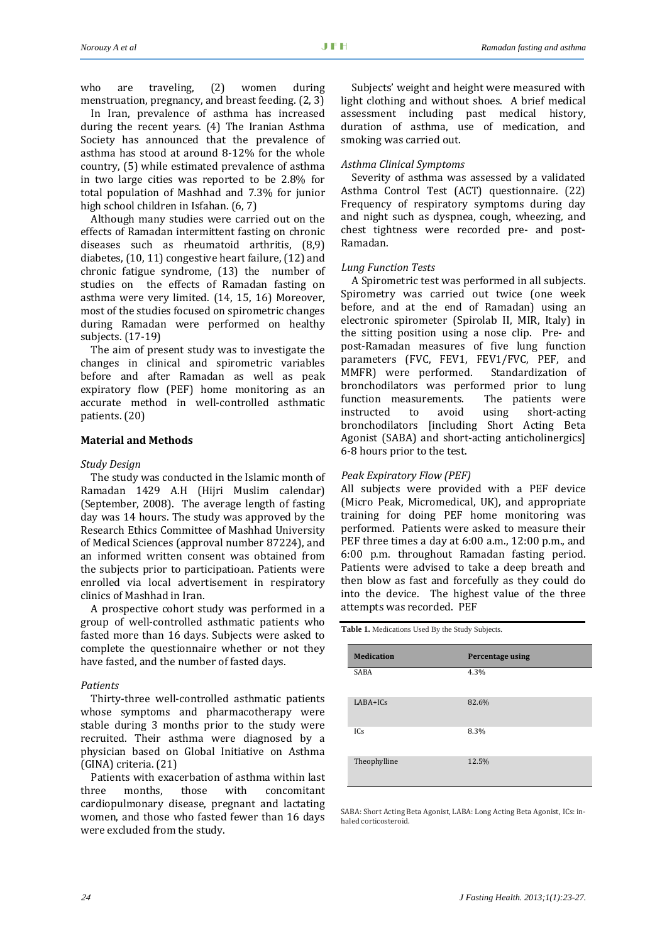who are traveling, (2) women during menstruation, pregnancy, and breast feeding. (2, 3)

In Iran, prevalence of asthma has increased during the recent years. (4) The Iranian Asthma Society has announced that the prevalence of asthma has stood at around 8‐12% for the whole country, (5) while estimated prevalence of asthma in two large cities was reported to be 2.8% for total population of Mashhad and 7.3% for junior high school children in Isfahan. (6, 7)

Although many studies were carried out on the effects of Ramadan intermittent fasting on chronic diseases such as rheumatoid arthritis, (8,9) diabetes, (10, 11) congestive heart failure, (12) and chronic fatigue syndrome, (13) the number of studies on the effects of Ramadan fasting on asthma were very limited. (14, 15, 16) Moreover, most of the studies focused on spirometric changes during Ramadan were performed on healthy subjects. (17‐19)

The aim of present study was to investigate the changes in clinical and spirometric variables before and after Ramadan as well as peak expiratory flow (PEF) home monitoring as an accurate method in well‐controlled asthmatic patients. (20)

## **Material and Methods**

#### *Study Design*

The study was conducted in the Islamic month of Ramadan 1429 A.H (Hijri Muslim calendar) (September, 2008). The average length of fasting day was 14 hours. The study was approved by the Research Ethics Committee of Mashhad University of Medical Sciences (approval number 87224), and an informed written consent was obtained from the subjects prior to participatioan. Patients were enrolled via local advertisement in respiratory clinics of Mashhad in Iran.

A prospective cohort study was performed in a group of well‐controlled asthmatic patients who fasted more than 16 days. Subjects were asked to complete the questionnaire whether or not they have fasted, and the number of fasted days.

#### *Patients*

Thirty‐three well‐controlled asthmatic patients whose symptoms and pharmacotherapy were stable during 3 months prior to the study were recruited. Their asthma were diagnosed by a physician based on Global Initiative on Asthma (GINA) criteria. (21)

Patients with exacerbation of asthma within last three months, those with concomitant cardiopulmonary disease, pregnant and lactating women, and those who fasted fewer than 16 days were excluded from the study.

Subjects' weight and height were measured with light clothing and without shoes. A brief medical assessment including past medical history, duration of asthma, use of medication, and smoking was carried out.

## *Asthma Clinical Symptoms*

Severity of asthma was assessed by a validated Asthma Control Test (ACT) questionnaire. (22) Frequency of respiratory symptoms during day and night such as dyspnea, cough, wheezing, and chest tightness were recorded pre- and post-Ramadan.

#### *Lung Function Tests*

A Spirometric test was performed in all subjects. Spirometry was carried out twice (one week before, and at the end of Ramadan) using an electronic spirometer (Spirolab II, MIR, Italy) in the sitting position using a nose clip. Pre- and post‐Ramadan measures of five lung function parameters (FVC, FEV1, FEV1/FVC, PEF, and MMFR) were performed. Standardization of bronchodilators was performed prior to lung function measurements. The patients were instructed to avoid using short‐acting bronchodilators [including Short Acting Beta Agonist (SABA) and short-acting anticholinergics] 6‐8 hours prior to the test.

#### *Peak Expiratory Flow (PEF)*

All subjects were provided with a PEF device (Micro Peak, Micromedical, UK), and appropriate training for doing PEF home monitoring was performed. Patients were asked to measure their PEF three times a day at 6:00 a.m., 12:00 p.m., and 6:00 p.m. throughout Ramadan fasting period. Patients were advised to take a deep breath and then blow as fast and forcefully as they could do into the device. The highest value of the three attempts was recorded. PEF

**Table 1.** Medications Used By the Study Subjects.

| <b>Medication</b> | Percentage using |
|-------------------|------------------|
| <b>SABA</b>       | 4.3%             |
| LABA+ICs          | 82.6%            |
| ICs               | 8.3%             |
| Theophylline      | 12.5%            |

SABA: Short Acting Beta Agonist, LABA: Long Acting Beta Agonist, ICs: in‐ haled corticosteroid.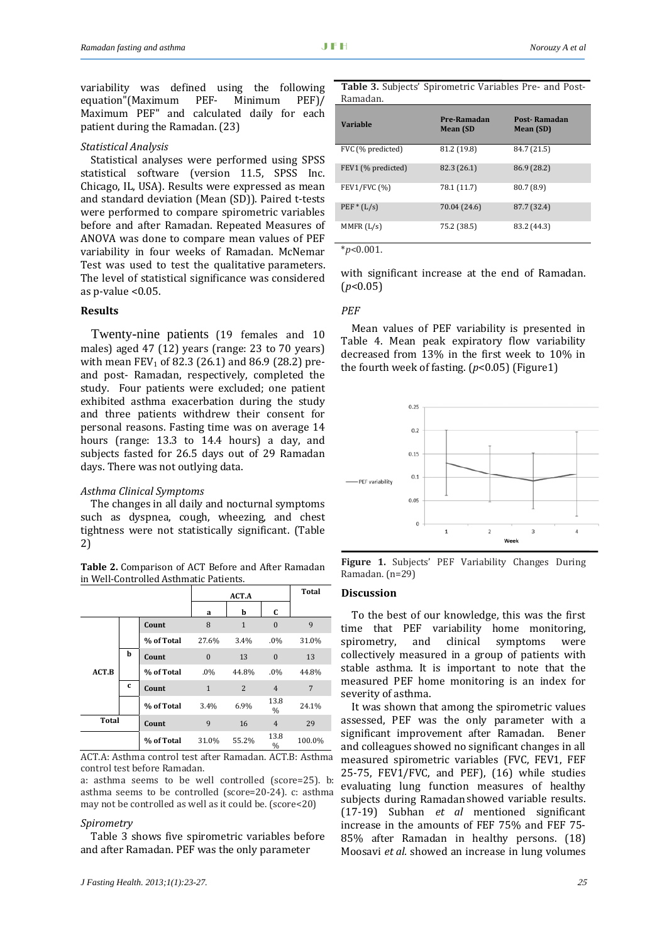variability was defined using the following equation"(Maximum PEF‐ Minimum PEF)/ Maximum PEF" and calculated daily for each patient during the Ramadan. (23)

#### *Statistical Analysis*

Statistical analyses were performed using SPSS statistical software (version 11.5, SPSS Inc. Chicago, IL, USA). Results were expressed as mean and standard deviation (Mean (SD)). Paired t‐tests were performed to compare spirometric variables before and after Ramadan. Repeated Measures of ANOVA was done to compare mean values of PEF variability in four weeks of Ramadan. McNemar Test was used to test the qualitative parameters. The level of statistical significance was considered as p-value  $< 0.05$ .

## **Results**

Twenty-nine patients (19 females and 10 males) aged 47 (12) years (range: 23 to 70 years) with mean  $FEV_1$  of 82.3 (26.1) and 86.9 (28.2) preand post‐ Ramadan, respectively, completed the study. Four patients were excluded; one patient exhibited asthma exacerbation during the study and three patients withdrew their consent for personal reasons. Fasting time was on average 14 hours (range: 13.3 to 14.4 hours) a day, and subjects fasted for 26.5 days out of 29 Ramadan days. There was not outlying data.

## *Asthma Clinical Symptoms*

The changes in all daily and nocturnal symptoms such as dyspnea, cough, wheezing, and chest tightness were not statistically significant. (Table 2)

**Table 2.** Comparison of ACT Before and After Ramadan in Well‐Controlled Asthmatic Patients.

|              |             |            | ACT.A        |                |                       | <b>Total</b> |
|--------------|-------------|------------|--------------|----------------|-----------------------|--------------|
|              |             |            | a            | b              | C                     |              |
|              |             | Count      | 8            | $\mathbf{1}$   | $\mathbf{0}$          | 9            |
|              |             | % of Total | 27.6%        | 3.4%           | .0%                   | 31.0%        |
|              | b           | Count      | $\mathbf{0}$ | 13             | $\mathbf{0}$          | 13           |
| ACT.B        |             | % of Total | .0%          | 44.8%          | .0%                   | 44.8%        |
|              | $\mathbf c$ | Count      | $\mathbf{1}$ | $\overline{2}$ | $\overline{4}$        | 7            |
|              |             | % of Total | 3.4%         | 6.9%           | 13.8<br>$\frac{0}{0}$ | 24.1%        |
| <b>Total</b> |             | Count      | 9            | 16             | $\overline{4}$        | 29           |
|              |             | % of Total | 31.0%        | 55.2%          | 13.8<br>$\frac{0}{0}$ | 100.0%       |

ACT.A: Asthma control test after Ramadan. ACT.B: Asthma control test before Ramadan.

a: asthma seems to be well controlled (score=25). b: asthma seems to be controlled (score=20‐24). c: asthma may not be controlled as well as it could be. (score<20)

#### *Spirometry*

Table 3 shows five spirometric variables before and after Ramadan. PEF was the only parameter

| <b>Variable</b>     | Pre-Ramadan<br><b>Mean (SD</b> | Post-Ramadan<br>Mean (SD) |
|---------------------|--------------------------------|---------------------------|
| FVC (% predicted)   | 81.2 (19.8)                    | 84.7 (21.5)               |
| FEV1 (% predicted)  | 82.3 (26.1)                    | 86.9 (28.2)               |
| <b>FEV1/FVC (%)</b> | 78.1 (11.7)                    | 80.7 (8.9)                |
| $PEF * (L/s)$       | 70.04 (24.6)                   | 87.7 (32.4)               |
| M MFR (L/s)         | 75.2 (38.5)                    | 83.2 (44.3)               |

\**p*<0.001.

with significant increase at the end of Ramadan. (*p*<0.05)

## *PEF*

Mean values of PEF variability is presented in Table 4. Mean peak expiratory flow variability decreased from 13% in the first week to 10% in the fourth week of fasting. (*p*<0.05) (Figure1)



**Figure 1.** Subjects' PEF Variability Changes During Ramadan. (n=29)

#### **Discussion**

To the best of our knowledge, this was the first time that PEF variability home monitoring, spirometry, and clinical symptoms were collectively measured in a group of patients with stable asthma. It is important to note that the measured PEF home monitoring is an index for severity of asthma.

It was shown that among the spirometric values assessed, PEF was the only parameter with a significant improvement after Ramadan. Bener and colleagues showed no significant changes in all measured spirometric variables (FVC, FEV1, FEF 25‐75, FEV1/FVC, and PEF), (16) while studies evaluating lung function measures of healthy subjects during Ramadan showed variable results. (17‐19) Subhan *et al* mentioned significant increase in the amounts of FEF 75% and FEF 75‐ 85% after Ramadan in healthy persons. (18) Moosavi *et al.* showed an increase in lung volumes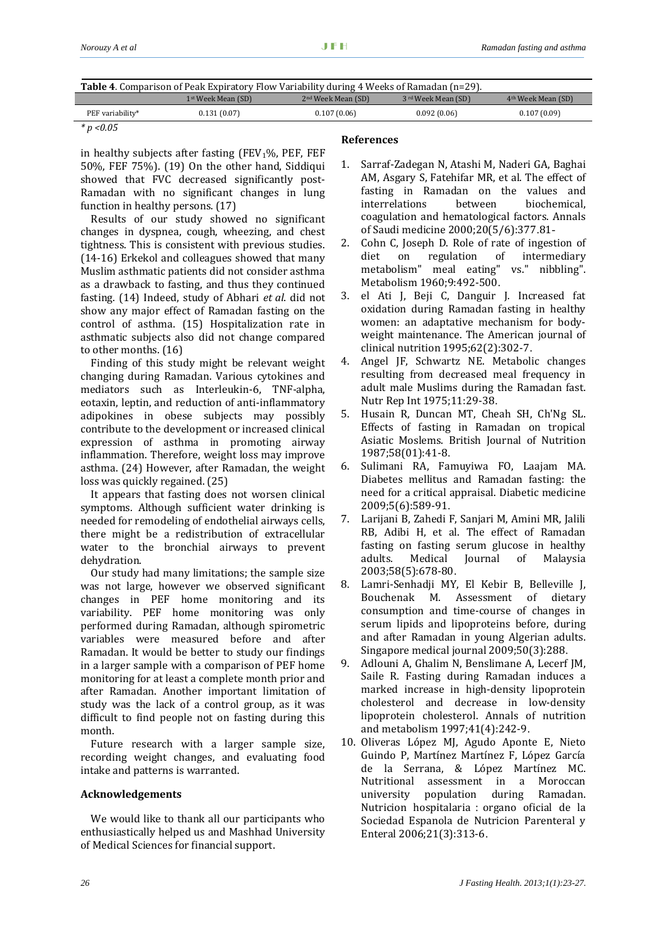| <b>Table 4.</b> Comparison of Peak Expiratory Flow Variability during 4 Weeks of Ramadan (n=29). |                    |                                |                     |                                |  |
|--------------------------------------------------------------------------------------------------|--------------------|--------------------------------|---------------------|--------------------------------|--|
|                                                                                                  | 1st Week Mean (SD) | 2 <sup>nd</sup> Week Mean (SD) | 3 rd Week Mean (SD) | 4 <sup>th</sup> Week Mean (SD) |  |
| PEF variability*                                                                                 | 0.131(0.07)        | 0.107(0.06)                    | 0.092(0.06)         | 0.107(0.09)                    |  |

*\* p <0.05*

I

in healthy subjects after fasting  $(FEV<sub>1</sub>%, PEF, FEF)$ 50%, FEF 75%). (19) On the other hand, Siddiqui showed that FVC decreased significantly post-Ramadan with no significant changes in lung function in healthy persons. (17)

Results of our study showed no significant changes in dyspnea, cough, wheezing, and chest tightness. This is consistent with previous studies. (14‐16) Erkekol and colleagues showed that many Muslim asthmatic patients did not consider asthma as a drawback to fasting, and thus they continued fasting. (14) Indeed, study of Abhari *et al*. did not show any major effect of Ramadan fasting on the control of asthma. (15) Hospitalization rate in asthmatic subjects also did not change compared to other months. (16)

Finding of this study might be relevant weight changing during Ramadan. Various cytokines and mediators such as Interleukin‐6, TNF‐alpha, eotaxin, leptin, and reduction of anti‐inflammatory adipokines in obese subjects may possibly contribute to the development or increased clinical expression of asthma in promoting airway inflammation. Therefore, weight loss may improve asthma. (24) However, after Ramadan, the weight loss was quickly regained. (25)

It appears that fasting does not worsen clinical symptoms. Although sufficient water drinking is needed for remodeling of endothelial airways cells, there might be a redistribution of extracellular water to the bronchial airways to prevent dehydration.

Our study had many limitations; the sample size was not large, however we observed significant changes in PEF home monitoring and its variability. PEF home monitoring was only performed during Ramadan, although spirometric variables were measured before and after Ramadan. It would be better to study our findings in a larger sample with a comparison of PEF home monitoring for at least a complete month prior and after Ramadan. Another important limitation of study was the lack of a control group, as it was difficult to find people not on fasting during this month.

Future research with a larger sample size, recording weight changes, and evaluating food intake and patterns is warranted.

## **Acknowledgements**

We would like to thank all our participants who enthusiastically helped us and Mashhad University of Medical Sciences for financial support.

## **References**

- 2. Cohn C, Joseph D. Role of rate of ingestion of diet on regulation of intermediary metabolism" meal eating" vs." nibbling". Metabolism 1960;9:492‐500.
- 3. el Ati J, Beji C, Danguir J. Increased fat oxidation during Ramadan fasting in healthy women: an adaptative mechanism for body‐ weight maintenance. The American journal of clinical nutrition 1995;62(2):302‐7.
- 4. Angel JF, Schwartz NE. Metabolic changes resulting from decreased meal frequency in adult male Muslims during the Ramadan fast. Nutr Rep Int 1975;11:29‐38.
- 5. Husain R, Duncan MT, Cheah SH, Ch'Ng SL. Effects of fasting in Ramadan on tropical Asiatic Moslems. British Journal of Nutrition 1987;58(01):41‐8.
- 6. Sulimani RA, Famuyiwa FO, Laajam MA. Diabetes mellitus and Ramadan fasting: the need for a critical appraisal. Diabetic medicine 2009;5(6):589‐91.
- 7. Larijani B, Zahedi F, Sanjari M, Amini MR, Jalili RB, Adibi H, et al. The effect of Ramadan fasting on fasting serum glucose in healthy adults. Medical Journal of Malaysia 2003;58(5):678‐80.
- 8. Lamri‐Senhadji MY, El Kebir B, Belleville J, Bouchenak M. Assessment of dietary consumption and time‐course of changes in serum lipids and lipoproteins before, during and after Ramadan in young Algerian adults. Singapore medical journal 2009;50(3):288.
- 9. Adlouni A, Ghalim N, Benslimane A, Lecerf JM, Saile R. Fasting during Ramadan induces a marked increase in high‐density lipoprotein cholesterol and decrease in low‐density lipoprotein cholesterol. Annals of nutrition and metabolism 1997;41(4):242‐9.
- 10. Oliveras López MJ, Agudo Aponte E, Nieto Guindo P, Martínez Martínez F, López García de la Serrana, & López Martínez MC. Nutritional assessment in a Moroccan university population during Ramadan. Nutricion hospitalaria : organo oficial de la Sociedad Espanola de Nutricion Parenteral y Enteral 2006;21(3):313‐6.

<sup>1.</sup> Sarraf‐Zadegan N, Atashi M, Naderi GA, Baghai AM, Asgary S, Fatehifar MR, et al. The effect of fasting in Ramadan on the values and interrelations between biochemical, coagulation and hematological factors. Annals of Saudi medicine 2000;20(5/6):377.81-